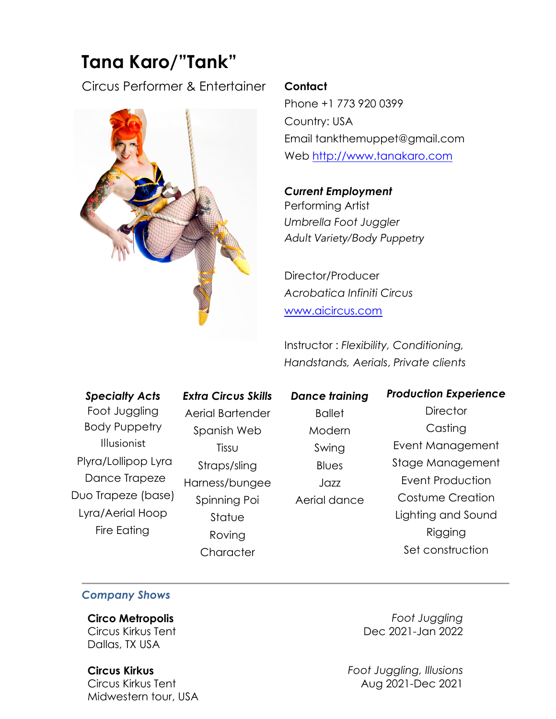# **Tana Karo/"Tank"**

Circus Performer & Entertainer



#### **Contact**

Phone +1 773 920 0399 Country: USA Email tankthemuppet@gmail.com Web http://www.tanakaro.com

 $\mathcal{L}$  10  $\mathcal{L}$  100  $\mathcal{L}$  100  $\mathcal{L}$ *Current Employment*  Performing Artist *Umbrella Foot Juggler* Adult Variety/Body Puppetry

Director/Producer *Acrobatica Infiniti Circus* www.aicircus.com

Instructor : *Flexibility, Conditioning, Handstands, Aerials*, *Private clients*

# *Specialty Acts*  Foot Juggling Body Puppetry Illusionist Plyra/Lollipop Lyra Dance Trapeze Duo Trapeze (base) Lyra/Aerial Hoop Fire Eating

*Extra Circus Skills*  Aerial Bartender Spanish Web Tissu Straps/sling Harness/bungee Spinning Poi **Statue** Roving **Character** 

*Dance training* **Ballet** Modern Swing **Blues** Jazz Aerial dance

*Production Experience*  **Director** Casting Event Management Stage Management Event Production Costume Creation Lighting and Sound Rigging Set construction

# *Company Shows*

**Circo Metropolis** Circus Kirkus Tent Dallas, TX USA

**Circus Kirkus** Circus Kirkus Tent Midwestern tour, USA

*Foot Juggling* Dec 2021-Jan 2022

*Foot Juggling, Illusions* Aug 2021-Dec 2021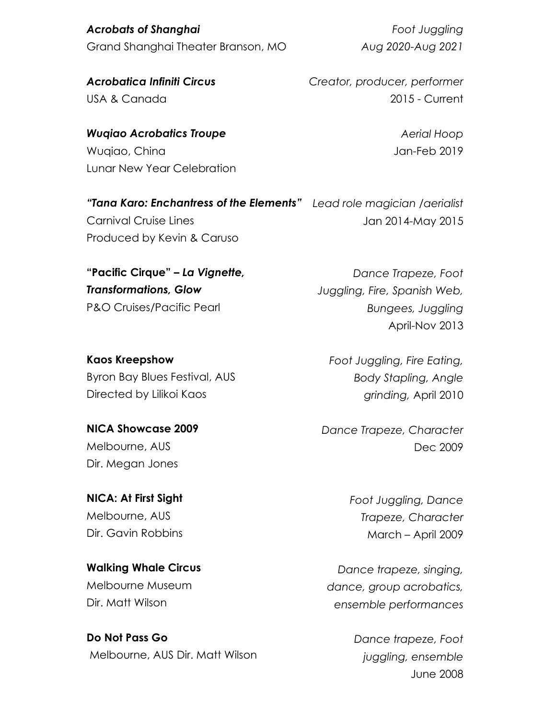*Acrobats of Shanghai*  Grand Shanghai Theater Branson, MO

*Foot Juggling Aug 2020-Aug 2021*

*Acrobatica Infiniti Circus*  USA & Canada

*Wuqiao Acrobatics Troupe* Wuqiao, China Lunar New Year Celebration *Creator, producer, performer* 2015 - Current

> *Aerial Hoop* Jan-Feb 2019

Jan 2014-May 2015

*"Tana Karo: Enchantress of the Elements" Lead role magician /aerialist* Carnival Cruise Lines Produced by Kevin & Caruso

**"Pacific Cirque" –** *La Vignette, Transformations, Glow*  P&O Cruises/Pacific Pearl

**Kaos Kreepshow** Byron Bay Blues Festival, AUS Directed by Lilikoi Kaos

**NICA Showcase 2009**  Melbourne, AUS Dir. Megan Jones

**NICA: At First Sight**  Melbourne, AUS Dir. Gavin Robbins

**Walking Whale Circus**  Melbourne Museum Dir. Matt Wilson

**Do Not Pass Go** Melbourne, AUS Dir. Matt Wilson *Dance Trapeze, Foot* 

*Juggling, Fire, Spanish Web, Bungees, Juggling* April-Nov 2013

*Foot Juggling, Fire Eating, Body Stapling, Angle grinding,* April 2010

*Dance Trapeze, Character* Dec 2009

> *Foot Juggling, Dance Trapeze, Character* March – April 2009

*Dance trapeze, singing, dance, group acrobatics, ensemble performances*

> *Dance trapeze, Foot juggling, ensemble*  June 2008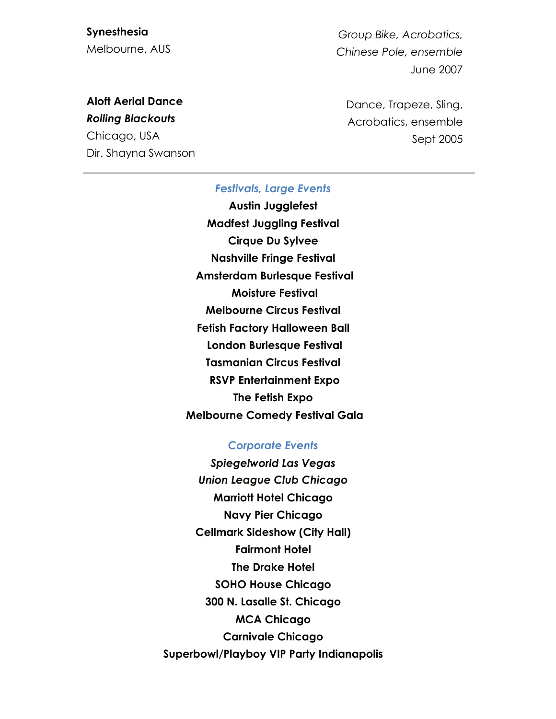**Synesthesia**  Melbourne, AUS

*Group Bike, Acrobatics, Chinese Pole, ensemble*  June 2007

# **Aloft Aerial Dance**

*Rolling Blackouts*  Chicago, USA Dir. Shayna Swanson Dance, Trapeze, Sling, Acrobatics, ensemble Sept 2005

#### *Festivals, Large Events*

**Austin Jugglefest Madfest Juggling Festival Cirque Du Sylvee Nashville Fringe Festival Amsterdam Burlesque Festival Moisture Festival Melbourne Circus Festival Fetish Factory Halloween Ball London Burlesque Festival Tasmanian Circus Festival RSVP Entertainment Expo The Fetish Expo Melbourne Comedy Festival Gala**

#### *Corporate Events*

*Spiegelworld Las Vegas Union League Club Chicago* **Marriott Hotel Chicago Navy Pier Chicago Cellmark Sideshow (City Hall) Fairmont Hotel The Drake Hotel SOHO House Chicago 300 N. Lasalle St. Chicago MCA Chicago Carnivale Chicago Superbowl/Playboy VIP Party Indianapolis**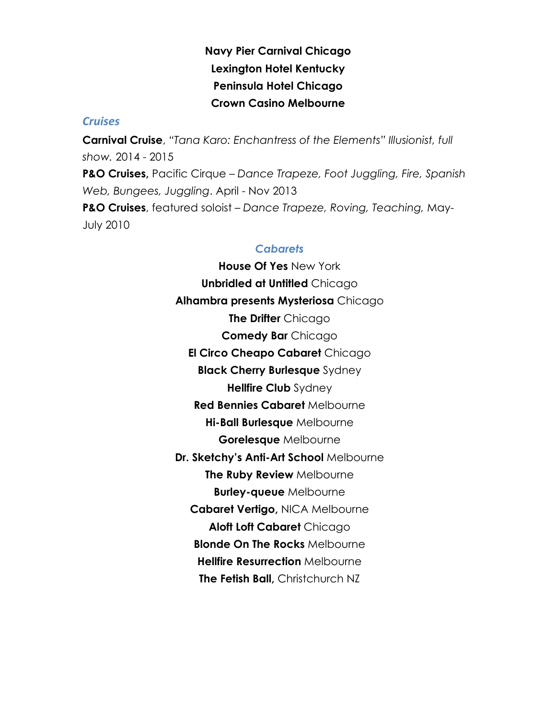# **Navy Pier Carnival Chicago Lexington Hotel Kentucky Peninsula Hotel Chicago Crown Casino Melbourne**

### *Cruises*

**Carnival Cruise**, *"Tana Karo: Enchantress of the Elements" Illusionist, full show.* 2014 - 2015 **P&O Cruises,** Pacific Cirque – *Dance Trapeze, Foot Juggling, Fire, Spanish Web, Bungees, Juggling*. April - Nov 2013 **P&O Cruises**, featured soloist – *Dance Trapeze, Roving, Teaching,* May-July 2010

## *Cabarets*

**House Of Yes** New York **Unbridled at Untitled** Chicago **Alhambra presents Mysteriosa** Chicago **The Drifter** Chicago **Comedy Bar** Chicago **El Circo Cheapo Cabaret** Chicago **Black Cherry Burlesque** Sydney **Hellfire Club** Sydney **Red Bennies Cabaret** Melbourne **Hi-Ball Burlesque** Melbourne **Gorelesque** Melbourne **Dr. Sketchy's Anti-Art School** Melbourne **The Ruby Review** Melbourne **Burley-queue** Melbourne **Cabaret Vertigo,** NICA Melbourne **Aloft Loft Cabaret** Chicago **Blonde On The Rocks** Melbourne **Hellfire Resurrection** Melbourne **The Fetish Ball,** Christchurch NZ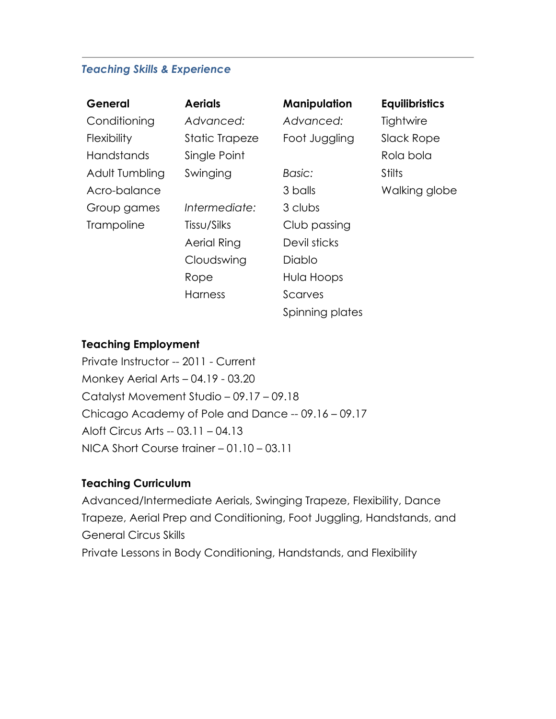### *Teaching Skills & Experience*

| General           | <b>Aerials</b> | Manipulation    | <b>Equilibristics</b> |
|-------------------|----------------|-----------------|-----------------------|
| Conditioning      | Advanced:      | Advanced:       | Tightwire             |
| Flexibility       | Static Trapeze | Foot Juggling   | Slack Rope            |
| <b>Handstands</b> | Single Point   |                 | Rola bola             |
| Adult Tumbling    | Swinging       | Basic:          | <b>Stilts</b>         |
| Acro-balance      |                | 3 balls         | Walking globe         |
| Group games       | Intermediate:  | 3 clubs         |                       |
| <b>Trampoline</b> | Tissu/Silks    | Club passing    |                       |
|                   | Aerial Ring    | Devil sticks    |                       |
|                   | Cloudswing     | Diablo          |                       |
|                   | Rope           | Hula Hoops      |                       |
|                   | Harness        | Scarves         |                       |
|                   |                | Spinning plates |                       |

### **Teaching Employment**

Private Instructor -- 2011 - Current Monkey Aerial Arts – 04.19 - 03.20 Catalyst Movement Studio – 09.17 – 09.18 Chicago Academy of Pole and Dance -- 09.16 – 09.17 Aloft Circus Arts -- 03.11 – 04.13 NICA Short Course trainer – 01.10 – 03.11

# **Teaching Curriculum**

Advanced/Intermediate Aerials, Swinging Trapeze, Flexibility, Dance Trapeze, Aerial Prep and Conditioning, Foot Juggling, Handstands, and General Circus Skills Private Lessons in Body Conditioning, Handstands, and Flexibility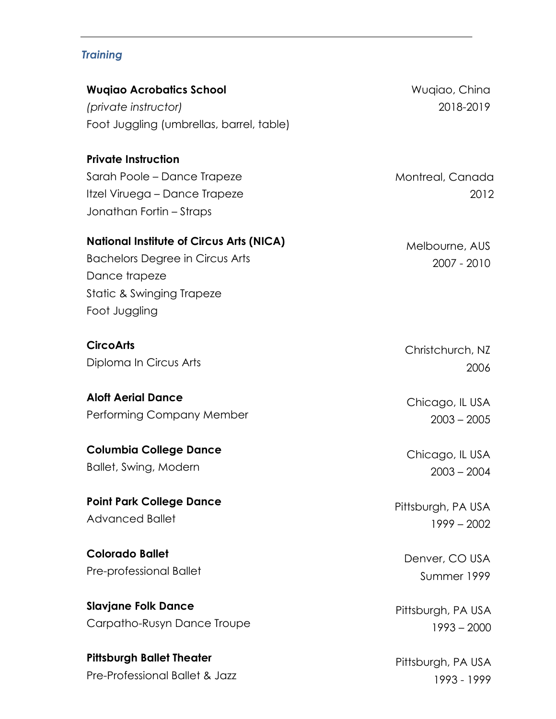# *Training*

| <b>Wugiao Acrobatics School</b><br>(private instructor)<br>Foot Juggling (umbrellas, barrel, table)                                                      | Wuqiao, China<br>2018-2019    |
|----------------------------------------------------------------------------------------------------------------------------------------------------------|-------------------------------|
| <b>Private Instruction</b><br>Sarah Poole - Dance Trapeze<br>Itzel Viruega – Dance Trapeze<br>Jonathan Fortin - Straps                                   | Montreal, Canada<br>2012      |
| <b>National Institute of Circus Arts (NICA)</b><br><b>Bachelors Degree in Circus Arts</b><br>Dance trapeze<br>Static & Swinging Trapeze<br>Foot Juggling | Melbourne, AUS<br>2007 - 2010 |
| <b>CircoArts</b>                                                                                                                                         | Christchurch, NZ              |
| Diploma In Circus Arts                                                                                                                                   | 2006                          |
| <b>Aloft Aerial Dance</b>                                                                                                                                | Chicago, IL USA               |
| Performing Company Member                                                                                                                                | $2003 - 2005$                 |
| <b>Columbia College Dance</b>                                                                                                                            | Chicago, IL USA               |
| Ballet, Swing, Modern                                                                                                                                    | $2003 - 2004$                 |
| <b>Point Park College Dance</b>                                                                                                                          | Pittsburgh, PA USA            |
| <b>Advanced Ballet</b>                                                                                                                                   | $1999 - 2002$                 |
| <b>Colorado Ballet</b>                                                                                                                                   | Denver, CO USA                |
| Pre-professional Ballet                                                                                                                                  | Summer 1999                   |
| <b>Slavjane Folk Dance</b>                                                                                                                               | Pittsburgh, PA USA            |
| Carpatho-Rusyn Dance Troupe                                                                                                                              | $1993 - 2000$                 |

**Pittsburgh Ballet Theater**  Pre-Professional Ballet & Jazz

Pittsburgh, PA USA 1993 - 1999